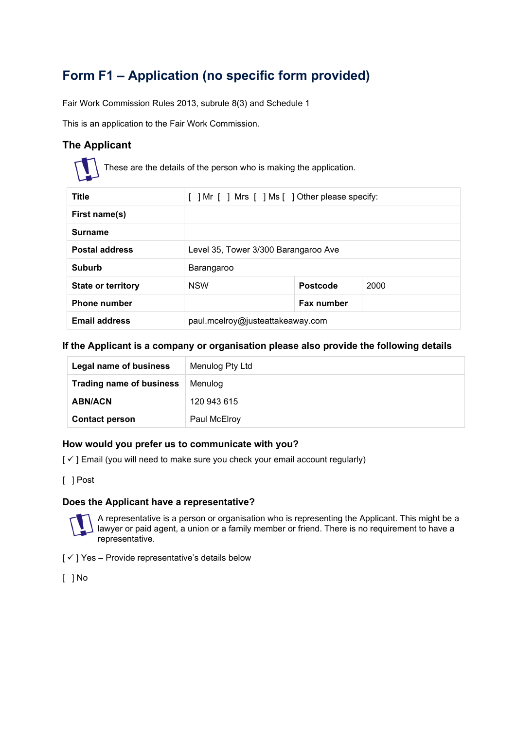# **Form F1 – Application (no specific form provided)**

Fair Work Commission Rules 2013, subrule 8(3) and Schedule 1

This is an application to the Fair Work Commission.

# **The Applicant**



These are the details of the person who is making the application.

| <b>Title</b>              | [ ] Mr [ ] Mrs [ ] Ms [ ] Other please specify: |                 |      |
|---------------------------|-------------------------------------------------|-----------------|------|
| First name(s)             |                                                 |                 |      |
| <b>Surname</b>            |                                                 |                 |      |
| <b>Postal address</b>     | Level 35, Tower 3/300 Barangaroo Ave            |                 |      |
| Suburb                    | Barangaroo                                      |                 |      |
| <b>State or territory</b> | <b>NSW</b>                                      | <b>Postcode</b> | 2000 |
| <b>Phone number</b>       |                                                 | Fax number      |      |
| <b>Email address</b>      | paul.mcelroy@justeattakeaway.com                |                 |      |

# **If the Applicant is a company or organisation please also provide the following details**

| Legal name of business          | Menulog Pty Ltd |
|---------------------------------|-----------------|
| <b>Trading name of business</b> | Menulog         |
| <b>ABN/ACN</b>                  | 120 943 615     |
| <b>Contact person</b>           | Paul McElroy    |

# **How would you prefer us to communicate with you?**

 $[\checkmark]$  Email (you will need to make sure you check your email account regularly)

[ ] Post

# **Does the Applicant have a representative?**



A representative is a person or organisation who is representing the Applicant. This might be a lawyer or paid agent, a union or a family member or friend. There is no requirement to have a representative.

 $[\checkmark]$  Yes – Provide representative's details below

[ ] No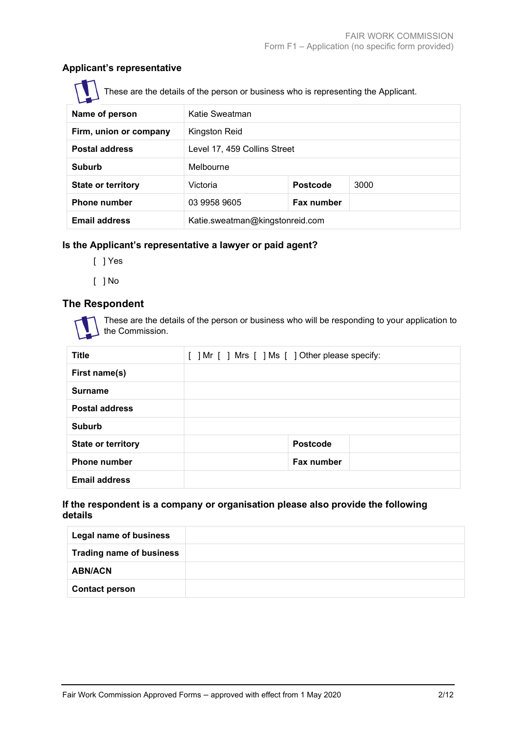# **Applicant's representative**

These are the details of the person or business who is representing the Applicant.

| ш                         |                                 |                 |      |  |
|---------------------------|---------------------------------|-----------------|------|--|
| Name of person            | Katie Sweatman                  |                 |      |  |
| Firm, union or company    | Kingston Reid                   |                 |      |  |
| <b>Postal address</b>     | Level 17, 459 Collins Street    |                 |      |  |
| <b>Suburb</b>             | Melbourne                       |                 |      |  |
| <b>State or territory</b> | Victoria                        | <b>Postcode</b> | 3000 |  |
| <b>Phone number</b>       | 03 9958 9605                    | Fax number      |      |  |
| <b>Email address</b>      | Katie.sweatman@kingstonreid.com |                 |      |  |

# **Is the Applicant's representative a lawyer or paid agent?**

- [ ] Yes
- [ ] No

# **The Respondent**



These are the details of the person or business who will be responding to your application to the Commission.

| <b>Title</b>              | [ ] Mr [ ] Mrs [ ] Ms [ ] Other please specify: |
|---------------------------|-------------------------------------------------|
| First name(s)             |                                                 |
| <b>Surname</b>            |                                                 |
| <b>Postal address</b>     |                                                 |
| <b>Suburb</b>             |                                                 |
| <b>State or territory</b> | <b>Postcode</b>                                 |
| <b>Phone number</b>       | Fax number                                      |
| <b>Email address</b>      |                                                 |

### **If the respondent is a company or organisation please also provide the following details**

| <b>Legal name of business</b>   |  |
|---------------------------------|--|
| <b>Trading name of business</b> |  |
| <b>ABN/ACN</b>                  |  |
| <b>Contact person</b>           |  |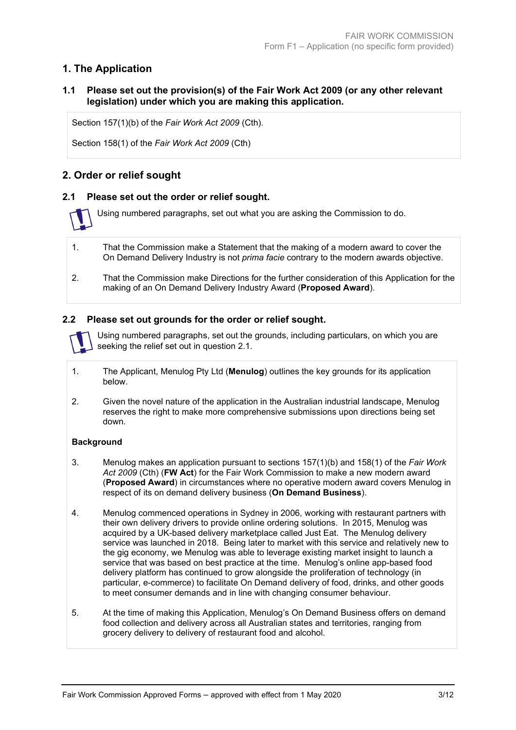# **1. The Application**

# **1.1 Please set out the provision(s) of the Fair Work Act 2009 (or any other relevant legislation) under which you are making this application.**

Section 157(1)(b) of the *Fair Work Act 2009* (Cth).

Section 158(1) of the *Fair Work Act 2009* (Cth)

# **2. Order or relief sought**

# **2.1 Please set out the order or relief sought.**

Using numbered paragraphs, set out what you are asking the Commission to do.

- 1. That the Commission make a Statement that the making of a modern award to cover the On Demand Delivery Industry is not *prima facie* contrary to the modern awards objective.
- 2. That the Commission make Directions for the further consideration of this Application for the making of an On Demand Delivery Industry Award (**Proposed Award**).

# **2.2 Please set out grounds for the order or relief sought.**

Using numbered paragraphs, set out the grounds, including particulars, on which you are seeking the relief set out in question 2.1.

- 1. The Applicant, Menulog Pty Ltd (**Menulog**) outlines the key grounds for its application below.
- 2. Given the novel nature of the application in the Australian industrial landscape, Menulog reserves the right to make more comprehensive submissions upon directions being set down.

#### **Background**

- 3. Menulog makes an application pursuant to sections 157(1)(b) and 158(1) of the *Fair Work Act 2009* (Cth) (**FW Act**) for the Fair Work Commission to make a new modern award (**Proposed Award**) in circumstances where no operative modern award covers Menulog in respect of its on demand delivery business (**On Demand Business**).
- 4. Menulog commenced operations in Sydney in 2006, working with restaurant partners with their own delivery drivers to provide online ordering solutions. In 2015, Menulog was acquired by a UK-based delivery marketplace called Just Eat. The Menulog delivery service was launched in 2018. Being later to market with this service and relatively new to the gig economy, we Menulog was able to leverage existing market insight to launch a service that was based on best practice at the time. Menulog's online app-based food delivery platform has continued to grow alongside the proliferation of technology (in particular, e-commerce) to facilitate On Demand delivery of food, drinks, and other goods to meet consumer demands and in line with changing consumer behaviour.
- 5. At the time of making this Application, Menulog's On Demand Business offers on demand food collection and delivery across all Australian states and territories, ranging from grocery delivery to delivery of restaurant food and alcohol.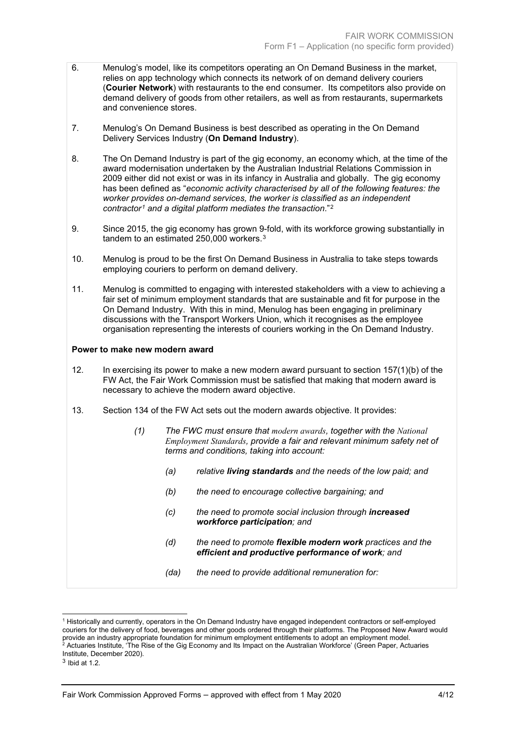- 6. Menulog's model, like its competitors operating an On Demand Business in the market, relies on app technology which connects its network of on demand delivery couriers (**Courier Network**) with restaurants to the end consumer. Its competitors also provide on demand delivery of goods from other retailers, as well as from restaurants, supermarkets and convenience stores.
- 7. Menulog's On Demand Business is best described as operating in the On Demand Delivery Services Industry (**On Demand Industry**).
- 8. The On Demand Industry is part of the gig economy, an economy which, at the time of the award modernisation undertaken by the Australian Industrial Relations Commission in 2009 either did not exist or was in its infancy in Australia and globally. The gig economy has been defined as "*economic activity characterised by all of the following features: the worker provides on-demand services, the worker is classified as an independent contractor[1](#page-3-0) and a digital platform mediates the transaction*."[2](#page-3-1)
- 9. Since 2015, the gig economy has grown 9-fold, with its workforce growing substantially in tandem to an estimated 250,000 workers.<sup>[3](#page-3-2)</sup>
- 10. Menulog is proud to be the first On Demand Business in Australia to take steps towards employing couriers to perform on demand delivery.
- 11. Menulog is committed to engaging with interested stakeholders with a view to achieving a fair set of minimum employment standards that are sustainable and fit for purpose in the On Demand Industry. With this in mind, Menulog has been engaging in preliminary discussions with the Transport Workers Union, which it recognises as the employee organisation representing the interests of couriers working in the On Demand Industry.

#### **Power to make new modern award**

- 12. In exercising its power to make a new modern award pursuant to section 157(1)(b) of the FW Act, the Fair Work Commission must be satisfied that making that modern award is necessary to achieve the modern award objective.
- 13. Section 134 of the FW Act sets out the modern awards objective. It provides:
	- *(1) The FWC must ensure that modern awards, together with the National Employment Standards, provide a fair and relevant minimum safety net of terms and conditions, taking into account:*
		- *(a) relative living standards and the needs of the low paid; and*
		- *(b) the need to encourage collective bargaining; and*
		- *(c) the need to promote social inclusion through increased workforce participation; and*
		- *(d) the need to promote flexible modern work practices and the efficient and productive performance of work; and*
		- *(da) the need to provide additional remuneration for:*

<span id="page-3-0"></span><sup>1</sup> Historically and currently, operators in the On Demand Industry have engaged independent contractors or self-employed couriers for the delivery of food, beverages and other goods ordered through their platforms. The Proposed New Award would provide an industry appropriate foundation for minimum employment entitlements to adopt an employment model.  $^2$  Actuaries Institute, 'The Rise of the Gig Economy and Its Impact on the Australian Workforce' (Green Paper, Actuaries Institute, December 2020).

<span id="page-3-2"></span><span id="page-3-1"></span> $3$  Ibid at 1.2.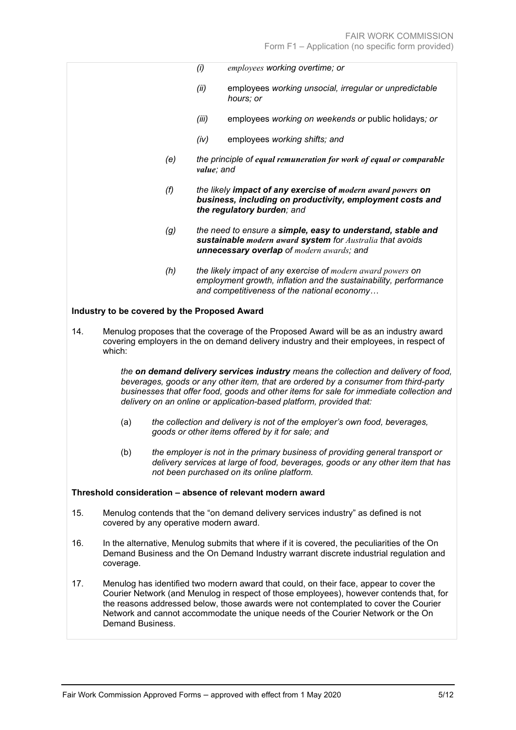|     |                                              |                                                                                                                                                                                   | (i)        | employees working overtime; or                                                                                                                                                                                                                                                                                                               |
|-----|----------------------------------------------|-----------------------------------------------------------------------------------------------------------------------------------------------------------------------------------|------------|----------------------------------------------------------------------------------------------------------------------------------------------------------------------------------------------------------------------------------------------------------------------------------------------------------------------------------------------|
|     |                                              |                                                                                                                                                                                   | (ii)       | employees working unsocial, irregular or unpredictable<br>hours; or                                                                                                                                                                                                                                                                          |
|     |                                              |                                                                                                                                                                                   | (iii)      | employees working on weekends or public holidays; or                                                                                                                                                                                                                                                                                         |
|     |                                              |                                                                                                                                                                                   | (iv)       | employees working shifts; and                                                                                                                                                                                                                                                                                                                |
|     |                                              | (e)                                                                                                                                                                               | value; and | the principle of equal remuneration for work of equal or comparable                                                                                                                                                                                                                                                                          |
|     |                                              | (f)                                                                                                                                                                               |            | the likely impact of any exercise of modern award powers on<br>business, including on productivity, employment costs and<br>the regulatory burden; and                                                                                                                                                                                       |
|     |                                              | (g)                                                                                                                                                                               |            | the need to ensure a simple, easy to understand, stable and<br>sustainable modern award system for Australia that avoids<br>unnecessary overlap of modern awards; and                                                                                                                                                                        |
|     |                                              | (h)                                                                                                                                                                               |            | the likely impact of any exercise of modern award powers on<br>employment growth, inflation and the sustainability, performance<br>and competitiveness of the national economy                                                                                                                                                               |
|     | Industry to be covered by the Proposed Award |                                                                                                                                                                                   |            |                                                                                                                                                                                                                                                                                                                                              |
| 14. | which:                                       | Menulog proposes that the coverage of the Proposed Award will be as an industry award<br>covering employers in the on demand delivery industry and their employees, in respect of |            |                                                                                                                                                                                                                                                                                                                                              |
|     |                                              |                                                                                                                                                                                   |            | the on demand delivery services industry means the collection and delivery of food,<br>beverages, goods or any other item, that are ordered by a consumer from third-party<br>businesses that offer food, goods and other items for sale for immediate collection and<br>delivery on an online or application-based platform, provided that: |
|     | (a)                                          |                                                                                                                                                                                   |            | the collection and delivery is not of the employer's own food, beverages,<br>goods or other items offered by it for sale; and                                                                                                                                                                                                                |
|     | (b)                                          |                                                                                                                                                                                   |            | the employer is not in the primary business of providing general transport or<br>delivery services at large of food, beverages, goods or any other item that has<br>not been purchased on its online platform.                                                                                                                               |
|     |                                              |                                                                                                                                                                                   |            | Threshold consideration - absence of relevant modern award                                                                                                                                                                                                                                                                                   |
| 15. | covered by any operative modern award.       |                                                                                                                                                                                   |            | Menulog contends that the "on demand delivery services industry" as defined is not                                                                                                                                                                                                                                                           |

- 16. In the alternative, Menulog submits that where if it is covered, the peculiarities of the On Demand Business and the On Demand Industry warrant discrete industrial regulation and coverage.
- 17. Menulog has identified two modern award that could, on their face, appear to cover the Courier Network (and Menulog in respect of those employees), however contends that, for the reasons addressed below, those awards were not contemplated to cover the Courier Network and cannot accommodate the unique needs of the Courier Network or the On Demand Business.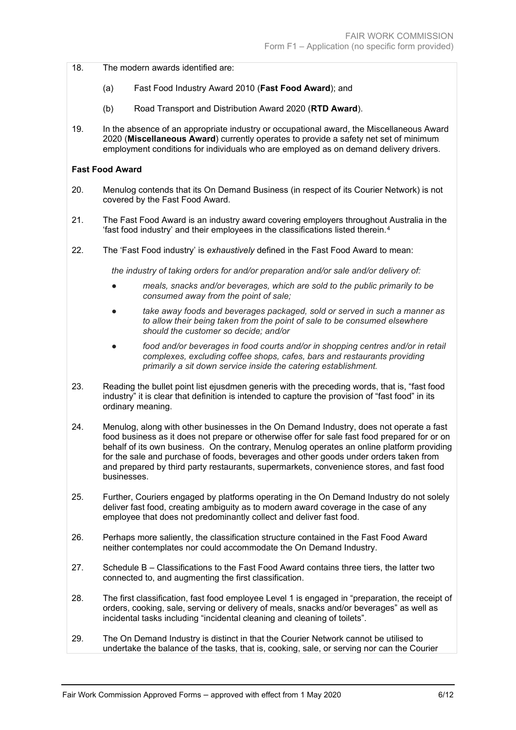18. The modern awards identified are:

- (a) Fast Food Industry Award 2010 (**Fast Food Award**); and
- (b) Road Transport and Distribution Award 2020 (**RTD Award**).
- 19. In the absence of an appropriate industry or occupational award, the Miscellaneous Award 2020 (**Miscellaneous Award**) currently operates to provide a safety net set of minimum employment conditions for individuals who are employed as on demand delivery drivers.

#### **Fast Food Award**

- 20. Menulog contends that its On Demand Business (in respect of its Courier Network) is not covered by the Fast Food Award.
- 21. The Fast Food Award is an industry award covering employers throughout Australia in the 'fast food industry' and their employees in the classifications listed therein.[4](#page-5-0)
- 22. The 'Fast Food industry' is *exhaustively* defined in the Fast Food Award to mean:

*the industry of taking orders for and/or preparation and/or sale and/or delivery of:*

- *meals, snacks and/or beverages, which are sold to the public primarily to be consumed away from the point of sale;*
- *● take away foods and beverages packaged, sold or served in such a manner as to allow their being taken from the point of sale to be consumed elsewhere should the customer so decide; and/or*
- *● food and/or beverages in food courts and/or in shopping centres and/or in retail complexes, excluding coffee shops, cafes, bars and restaurants providing primarily a sit down service inside the catering establishment.*
- 23. Reading the bullet point list ejusdmen generis with the preceding words, that is, "fast food industry" it is clear that definition is intended to capture the provision of "fast food" in its ordinary meaning.
- 24. Menulog, along with other businesses in the On Demand Industry, does not operate a fast food business as it does not prepare or otherwise offer for sale fast food prepared for or on behalf of its own business. On the contrary, Menulog operates an online platform providing for the sale and purchase of foods, beverages and other goods under orders taken from and prepared by third party restaurants, supermarkets, convenience stores, and fast food businesses.
- 25. Further, Couriers engaged by platforms operating in the On Demand Industry do not solely deliver fast food, creating ambiguity as to modern award coverage in the case of any employee that does not predominantly collect and deliver fast food.
- 26. Perhaps more saliently, the classification structure contained in the Fast Food Award neither contemplates nor could accommodate the On Demand Industry.
- 27. Schedule B Classifications to the Fast Food Award contains three tiers, the latter two connected to, and augmenting the first classification.
- 28. The first classification, fast food employee Level 1 is engaged in "preparation, the receipt of orders, cooking, sale, serving or delivery of meals, snacks and/or beverages" as well as incidental tasks including "incidental cleaning and cleaning of toilets".
- <span id="page-5-0"></span>29. The On Demand Industry is distinct in that the Courier Network cannot be utilised to undertake the balance of the tasks, that is, cooking, sale, or serving nor can the Courier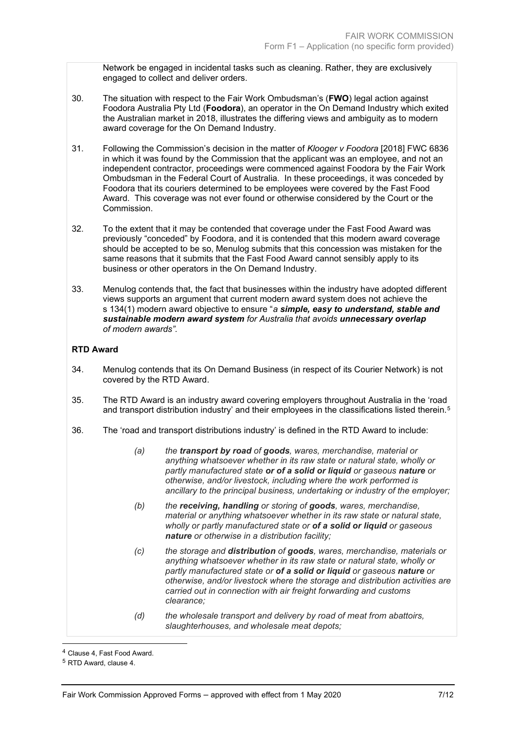Network be engaged in incidental tasks such as cleaning. Rather, they are exclusively engaged to collect and deliver orders.

- 30. The situation with respect to the Fair Work Ombudsman's (**FWO**) legal action against Foodora Australia Pty Ltd (**Foodora**), an operator in the On Demand Industry which exited the Australian market in 2018, illustrates the differing views and ambiguity as to modern award coverage for the On Demand Industry.
- 31. Following the Commission's decision in the matter of *Klooger v Foodora* [2018] FWC 6836 in which it was found by the Commission that the applicant was an employee, and not an independent contractor, proceedings were commenced against Foodora by the Fair Work Ombudsman in the Federal Court of Australia. In these proceedings, it was conceded by Foodora that its couriers determined to be employees were covered by the Fast Food Award. This coverage was not ever found or otherwise considered by the Court or the Commission.
- 32. To the extent that it may be contended that coverage under the Fast Food Award was previously "conceded" by Foodora, and it is contended that this modern award coverage should be accepted to be so, Menulog submits that this concession was mistaken for the same reasons that it submits that the Fast Food Award cannot sensibly apply to its business or other operators in the On Demand Industry.
- 33. Menulog contends that, the fact that businesses within the industry have adopted different views supports an argument that current modern award system does not achieve the s 134(1) modern award objective to ensure "*a simple, easy to understand, stable and sustainable modern award system for Australia that avoids unnecessary overlap of modern awards".*

### **RTD Award**

- 34. Menulog contends that its On Demand Business (in respect of its Courier Network) is not covered by the RTD Award.
- 35. The RTD Award is an industry award covering employers throughout Australia in the 'road and transport distribution industry' and their employees in the classifications listed therein.<sup>[5](#page-6-0)</sup>
- 36. The 'road and transport distributions industry' is defined in the RTD Award to include:
	- *(a) the transport by road of goods, wares, merchandise, material or anything whatsoever whether in its raw state or natural state, wholly or partly manufactured state or of a solid or liquid or gaseous nature or otherwise, and/or livestock, including where the work performed is ancillary to the principal business, undertaking or industry of the employer;*
	- *(b) the receiving, handling or storing of goods, wares, merchandise, material or anything whatsoever whether in its raw state or natural state, wholly or partly manufactured state or of a solid or liquid or gaseous nature or otherwise in a distribution facility;*
	- *(c) the storage and distribution of goods, wares, merchandise, materials or anything whatsoever whether in its raw state or natural state, wholly or partly manufactured state or of a solid or liquid or gaseous nature or otherwise, and/or livestock where the storage and distribution activities are carried out in connection with air freight forwarding and customs clearance;*
	- *(d) the wholesale transport and delivery by road of meat from abattoirs, slaughterhouses, and wholesale meat depots;*

<sup>4</sup> Clause 4, Fast Food Award.

<span id="page-6-0"></span><sup>5</sup> RTD Award, clause 4.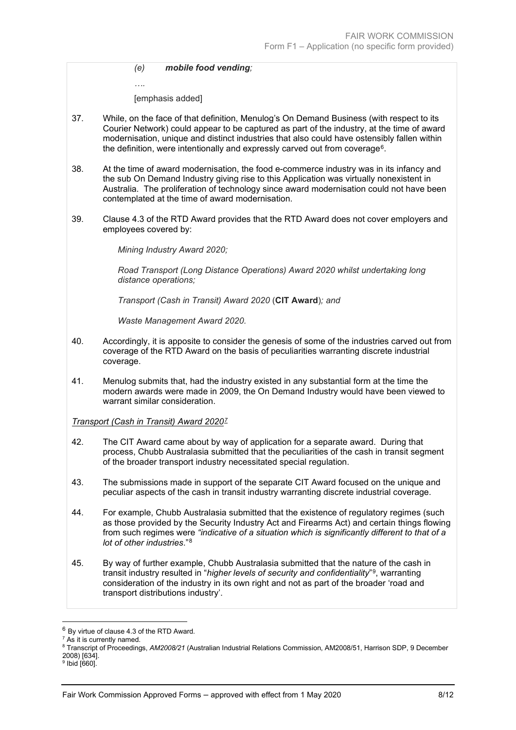*(e) mobile food vending;*

*….*

[emphasis added]

- 37. While, on the face of that definition, Menulog's On Demand Business (with respect to its Courier Network) could appear to be captured as part of the industry, at the time of award modernisation, unique and distinct industries that also could have ostensibly fallen within the definition, were intentionally and expressly carved out from coverage<sup>[6](#page-7-0)</sup>.
- 38. At the time of award modernisation, the food e-commerce industry was in its infancy and the sub On Demand Industry giving rise to this Application was virtually nonexistent in Australia. The proliferation of technology since award modernisation could not have been contemplated at the time of award modernisation.
- 39. Clause 4.3 of the RTD Award provides that the RTD Award does not cover employers and employees covered by:

*Mining Industry Award 2020;*

*Road Transport (Long Distance Operations) Award 2020 whilst undertaking long distance operations;*

*Transport (Cash in Transit) Award 2020* (**CIT Award**)*; and*

*Waste Management Award 2020.*

- 40. Accordingly, it is apposite to consider the genesis of some of the industries carved out from coverage of the RTD Award on the basis of peculiarities warranting discrete industrial coverage.
- 41. Menulog submits that, had the industry existed in any substantial form at the time the modern awards were made in 2009, the On Demand Industry would have been viewed to warrant similar consideration.

#### *Transport (Cash in Transit) Award 2020[7](#page-7-1)*

- 42. The CIT Award came about by way of application for a separate award. During that process, Chubb Australasia submitted that the peculiarities of the cash in transit segment of the broader transport industry necessitated special regulation.
- 43. The submissions made in support of the separate CIT Award focused on the unique and peculiar aspects of the cash in transit industry warranting discrete industrial coverage.
- 44. For example, Chubb Australasia submitted that the existence of regulatory regimes (such as those provided by the Security Industry Act and Firearms Act) and certain things flowing from such regimes were *"indicative of a situation which is significantly different to that of a lot of other industries*."[8](#page-7-2)
- 45. By way of further example, Chubb Australasia submitted that the nature of the cash in transit industry resulted in "*higher levels of security and confidentiality*"[9,](#page-7-3) warranting consideration of the industry in its own right and not as part of the broader 'road and transport distributions industry'.

<span id="page-7-0"></span><sup>6</sup> By virtue of clause 4.3 of the RTD Award.

<span id="page-7-1"></span><sup>&</sup>lt;sup>7</sup> As it is currently named.

<span id="page-7-2"></span><sup>8</sup> Transcript of Proceedings, *AM2008/21* (Australian Industrial Relations Commission, AM2008/51, Harrison SDP, 9 December

<span id="page-7-3"></span> $9$  Ibid [660].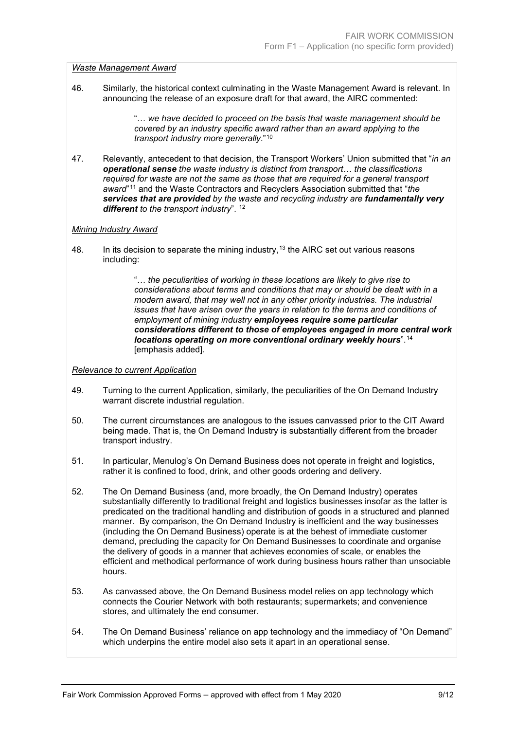#### *Waste Management Award*

46. Similarly, the historical context culminating in the Waste Management Award is relevant. In announcing the release of an exposure draft for that award, the AIRC commented:

> "… *we have decided to proceed on the basis that waste management should be covered by an industry specific award rather than an award applying to the transport industry more generally*."[10](#page-8-0)

47. Relevantly, antecedent to that decision, the Transport Workers' Union submitted that "*in an operational sense the waste industry is distinct from transport… the classifications required for waste are not the same as those that are required for a general transport award*"[11](#page-8-1) and the Waste Contractors and Recyclers Association submitted that "*the services that are provided by the waste and recycling industry are fundamentally very different to the transport industry*". [12](#page-8-2)

#### *Mining Industry Award*

48. In its decision to separate the mining industry,  $13$  the AIRC set out various reasons including:

> "… *the peculiarities of working in these locations are likely to give rise to considerations about terms and conditions that may or should be dealt with in a modern award, that may well not in any other priority industries. The industrial issues that have arisen over the years in relation to the terms and conditions of employment of mining industry employees require some particular considerations different to those of employees engaged in more central work locations operating on more conventional ordinary weekly hours*".[14](#page-8-4) [emphasis added].

#### *Relevance to current Application*

- 49. Turning to the current Application, similarly, the peculiarities of the On Demand Industry warrant discrete industrial regulation.
- 50. The current circumstances are analogous to the issues canvassed prior to the CIT Award being made. That is, the On Demand Industry is substantially different from the broader transport industry.
- 51. In particular, Menulog's On Demand Business does not operate in freight and logistics, rather it is confined to food, drink, and other goods ordering and delivery.
- 52. The On Demand Business (and, more broadly, the On Demand Industry) operates substantially differently to traditional freight and logistics businesses insofar as the latter is predicated on the traditional handling and distribution of goods in a structured and planned manner. By comparison, the On Demand Industry is inefficient and the way businesses (including the On Demand Business) operate is at the behest of immediate customer demand, precluding the capacity for On Demand Businesses to coordinate and organise the delivery of goods in a manner that achieves economies of scale, or enables the efficient and methodical performance of work during business hours rather than unsociable hours.
- <span id="page-8-0"></span>53. As canvassed above, the On Demand Business model relies on app technology which connects the Courier Network with both restaurants; supermarkets; and convenience stores, and ultimately the end consumer.
- <span id="page-8-4"></span><span id="page-8-3"></span><span id="page-8-2"></span><span id="page-8-1"></span>54. The On Demand Business' reliance on app technology and the immediacy of "On Demand" which underpins the entire model also sets it apart in an operational sense.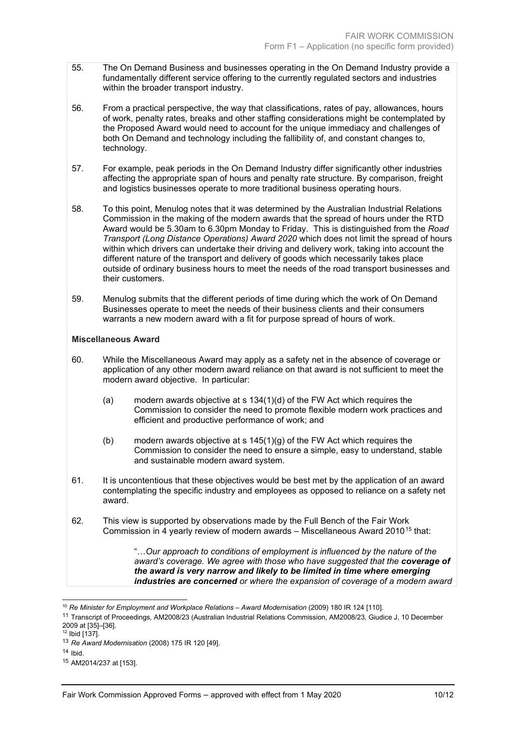- 55. The On Demand Business and businesses operating in the On Demand Industry provide a fundamentally different service offering to the currently regulated sectors and industries within the broader transport industry.
- 56. From a practical perspective, the way that classifications, rates of pay, allowances, hours of work, penalty rates, breaks and other staffing considerations might be contemplated by the Proposed Award would need to account for the unique immediacy and challenges of both On Demand and technology including the fallibility of, and constant changes to, technology.
- 57. For example, peak periods in the On Demand Industry differ significantly other industries affecting the appropriate span of hours and penalty rate structure. By comparison, freight and logistics businesses operate to more traditional business operating hours.
- 58. To this point, Menulog notes that it was determined by the Australian Industrial Relations Commission in the making of the modern awards that the spread of hours under the RTD Award would be 5.30am to 6.30pm Monday to Friday. This is distinguished from the *Road Transport (Long Distance Operations) Award 2020* which does not limit the spread of hours within which drivers can undertake their driving and delivery work, taking into account the different nature of the transport and delivery of goods which necessarily takes place outside of ordinary business hours to meet the needs of the road transport businesses and their customers.
- 59. Menulog submits that the different periods of time during which the work of On Demand Businesses operate to meet the needs of their business clients and their consumers warrants a new modern award with a fit for purpose spread of hours of work.

#### **Miscellaneous Award**

- 60. While the Miscellaneous Award may apply as a safety net in the absence of coverage or application of any other modern award reliance on that award is not sufficient to meet the modern award objective. In particular:
	- (a) modern awards objective at s 134(1)(d) of the FW Act which requires the Commission to consider the need to promote flexible modern work practices and efficient and productive performance of work; and
	- (b) modern awards objective at s 145(1)(g) of the FW Act which requires the Commission to consider the need to ensure a simple, easy to understand, stable and sustainable modern award system.
- 61. It is uncontentious that these objectives would be best met by the application of an award contemplating the specific industry and employees as opposed to reliance on a safety net award.
- 62. This view is supported by observations made by the Full Bench of the Fair Work Commission in 4 yearly review of modern awards  $-$  Miscellaneous Award 2010<sup>[15](#page-9-0)</sup> that:

"…*Our approach to conditions of employment is influenced by the nature of the award's coverage. We agree with those who have suggested that the coverage of the award is very narrow and likely to be limited in time where emerging industries are concerned or where the expansion of coverage of a modern award* 

<sup>10</sup> *Re Minister for Employment and Workplace Relations – Award Modernisation* (2009) 180 IR 124 [110].

<sup>11</sup> Transcript of Proceedings, AM2008/23 (Australian Industrial Relations Commission, AM2008/23, Giudice J, 10 December 2009 at [35]–[36].

 $12$  Ibid [137].

<sup>13</sup> *Re Award Modernisation* (2008) 175 IR 120 [49].

 $14$  Ibid.

<span id="page-9-0"></span><sup>15</sup> AM2014/237 at [153].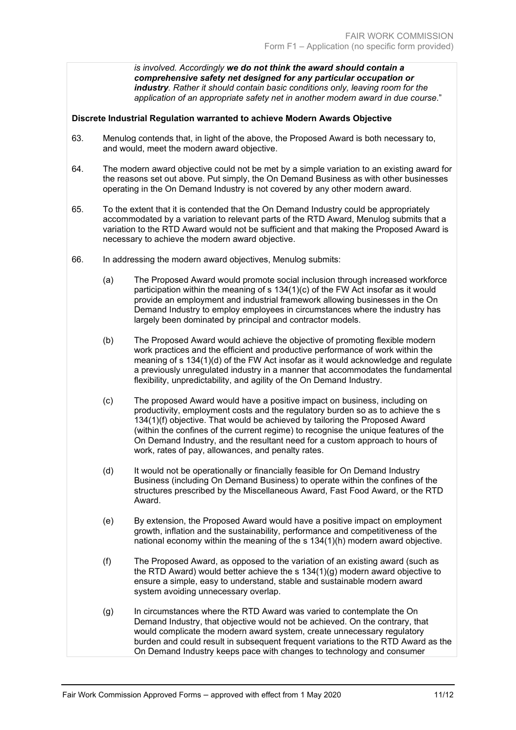*is involved. Accordingly we do not think the award should contain a comprehensive safety net designed for any particular occupation or industry. Rather it should contain basic conditions only, leaving room for the application of an appropriate safety net in another modern award in due course*."

#### **Discrete Industrial Regulation warranted to achieve Modern Awards Objective**

- 63. Menulog contends that, in light of the above, the Proposed Award is both necessary to, and would, meet the modern award objective.
- 64. The modern award objective could not be met by a simple variation to an existing award for the reasons set out above. Put simply, the On Demand Business as with other businesses operating in the On Demand Industry is not covered by any other modern award.
- 65. To the extent that it is contended that the On Demand Industry could be appropriately accommodated by a variation to relevant parts of the RTD Award, Menulog submits that a variation to the RTD Award would not be sufficient and that making the Proposed Award is necessary to achieve the modern award objective.
- 66. In addressing the modern award objectives, Menulog submits:
	- (a) The Proposed Award would promote social inclusion through increased workforce participation within the meaning of s 134(1)(c) of the FW Act insofar as it would provide an employment and industrial framework allowing businesses in the On Demand Industry to employ employees in circumstances where the industry has largely been dominated by principal and contractor models.
	- (b) The Proposed Award would achieve the objective of promoting flexible modern work practices and the efficient and productive performance of work within the meaning of s 134(1)(d) of the FW Act insofar as it would acknowledge and regulate a previously unregulated industry in a manner that accommodates the fundamental flexibility, unpredictability, and agility of the On Demand Industry.
	- (c) The proposed Award would have a positive impact on business, including on productivity, employment costs and the regulatory burden so as to achieve the s 134(1)(f) objective. That would be achieved by tailoring the Proposed Award (within the confines of the current regime) to recognise the unique features of the On Demand Industry, and the resultant need for a custom approach to hours of work, rates of pay, allowances, and penalty rates.
	- (d) It would not be operationally or financially feasible for On Demand Industry Business (including On Demand Business) to operate within the confines of the structures prescribed by the Miscellaneous Award, Fast Food Award, or the RTD Award.
	- (e) By extension, the Proposed Award would have a positive impact on employment growth, inflation and the sustainability, performance and competitiveness of the national economy within the meaning of the s 134(1)(h) modern award objective.
	- (f) The Proposed Award, as opposed to the variation of an existing award (such as the RTD Award) would better achieve the s 134(1)(g) modern award objective to ensure a simple, easy to understand, stable and sustainable modern award system avoiding unnecessary overlap.
	- (g) In circumstances where the RTD Award was varied to contemplate the On Demand Industry, that objective would not be achieved. On the contrary, that would complicate the modern award system, create unnecessary regulatory burden and could result in subsequent frequent variations to the RTD Award as the On Demand Industry keeps pace with changes to technology and consumer